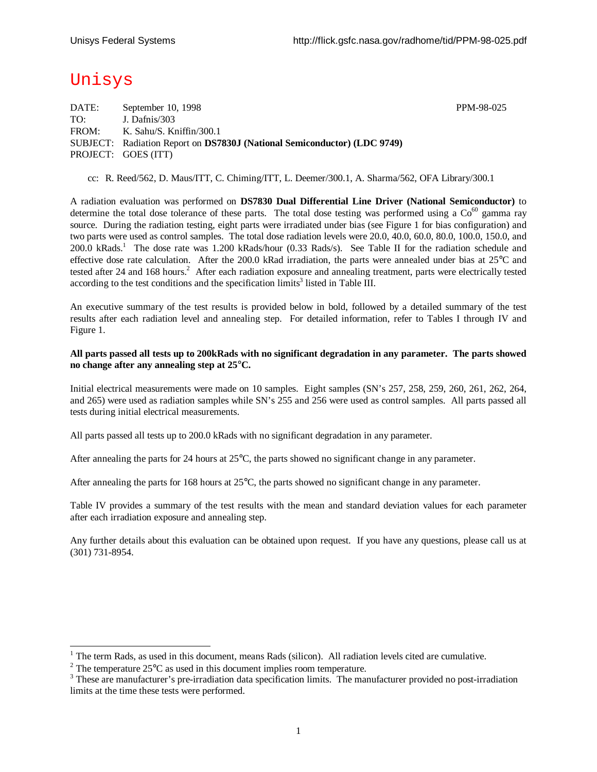# Unisys

DATE: September 10, 1998 PPM-98-025 TO: J. Dafnis/303 FROM: K. Sahu/S. Kniffin/300.1 SUBJECT: Radiation Report on **DS7830J (National Semiconductor) (LDC 9749)** PROJECT: GOES (ITT)

cc: R. Reed/562, D. Maus/ITT, C. Chiming/ITT, L. Deemer/300.1, A. Sharma/562, OFA Library/300.1

A radiation evaluation was performed on **DS7830 Dual Differential Line Driver (National Semiconductor)** to determine the total dose tolerance of these parts. The total dose testing was performed using a  $Co<sup>60</sup>$  gamma ray source. During the radiation testing, eight parts were irradiated under bias (see Figure 1 for bias configuration) and two parts were used as control samples. The total dose radiation levels were 20.0, 40.0, 60.0, 80.0, 100.0, 150.0, and 200.0 kRads.<sup>1</sup> The dose rate was 1.200 kRads/hour (0.33 Rads/s). See Table II for the radiation schedule and effective dose rate calculation. After the 200.0 kRad irradiation, the parts were annealed under bias at 25°C and tested after 24 and 168 hours.<sup>2</sup> After each radiation exposure and annealing treatment, parts were electrically tested according to the test conditions and the specification  $\lim$ its<sup>3</sup> listed in Table III.

An executive summary of the test results is provided below in bold, followed by a detailed summary of the test results after each radiation level and annealing step. For detailed information, refer to Tables I through IV and Figure 1.

#### **All parts passed all tests up to 200kRads with no significant degradation in any parameter. The parts showed no change after any annealing step at 25°C.**

Initial electrical measurements were made on 10 samples. Eight samples (SN's 257, 258, 259, 260, 261, 262, 264, and 265) were used as radiation samples while SN's 255 and 256 were used as control samples. All parts passed all tests during initial electrical measurements.

All parts passed all tests up to 200.0 kRads with no significant degradation in any parameter.

After annealing the parts for 24 hours at 25°C, the parts showed no significant change in any parameter.

After annealing the parts for 168 hours at 25°C, the parts showed no significant change in any parameter.

Table IV provides a summary of the test results with the mean and standard deviation values for each parameter after each irradiation exposure and annealing step.

Any further details about this evaluation can be obtained upon request. If you have any questions, please call us at (301) 731-8954.

<sup>&</sup>lt;sup>1</sup> The term Rads, as used in this document, means Rads (silicon). All radiation levels cited are cumulative.

<sup>&</sup>lt;sup>2</sup> The temperature 25 $^{\circ}$ C as used in this document implies room temperature.

<sup>&</sup>lt;sup>3</sup> These are manufacturer's pre-irradiation data specification limits. The manufacturer provided no post-irradiation limits at the time these tests were performed.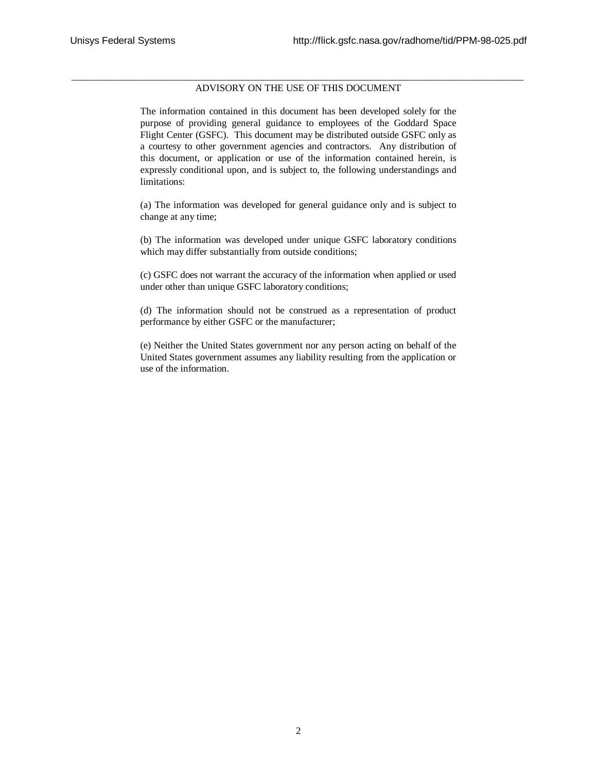#### \_\_\_\_\_\_\_\_\_\_\_\_\_\_\_\_\_\_\_\_\_\_\_\_\_\_\_\_\_\_\_\_\_\_\_\_\_\_\_\_\_\_\_\_\_\_\_\_\_\_\_\_\_\_\_\_\_\_\_\_\_\_\_\_\_\_\_\_\_\_\_\_\_\_\_\_\_\_\_\_\_\_\_\_\_\_\_\_\_\_\_\_ ADVISORY ON THE USE OF THIS DOCUMENT

The information contained in this document has been developed solely for the purpose of providing general guidance to employees of the Goddard Space Flight Center (GSFC). This document may be distributed outside GSFC only as a courtesy to other government agencies and contractors. Any distribution of this document, or application or use of the information contained herein, is expressly conditional upon, and is subject to, the following understandings and limitations:

(a) The information was developed for general guidance only and is subject to change at any time;

(b) The information was developed under unique GSFC laboratory conditions which may differ substantially from outside conditions;

(c) GSFC does not warrant the accuracy of the information when applied or used under other than unique GSFC laboratory conditions;

(d) The information should not be construed as a representation of product performance by either GSFC or the manufacturer;

(e) Neither the United States government nor any person acting on behalf of the United States government assumes any liability resulting from the application or use of the information.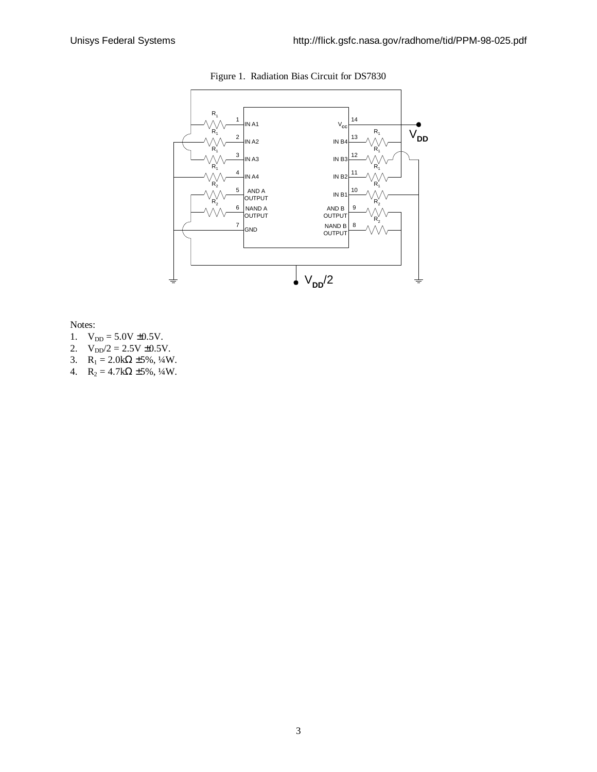

Figure 1. Radiation Bias Circuit for DS7830

Notes:

- 1.  $V_{DD} = 5.0V \pm 0.5V$ .
- 2.  $V_{DD}/2 = 2.5V \pm 0.5V$ .
- 3.  $R_1 = 2.0k\Omega \pm 5\%, \frac{1}{4}W$ .
- 4.  $R_2 = 4.7k\Omega \pm 5\%, \frac{1}{4}W$ .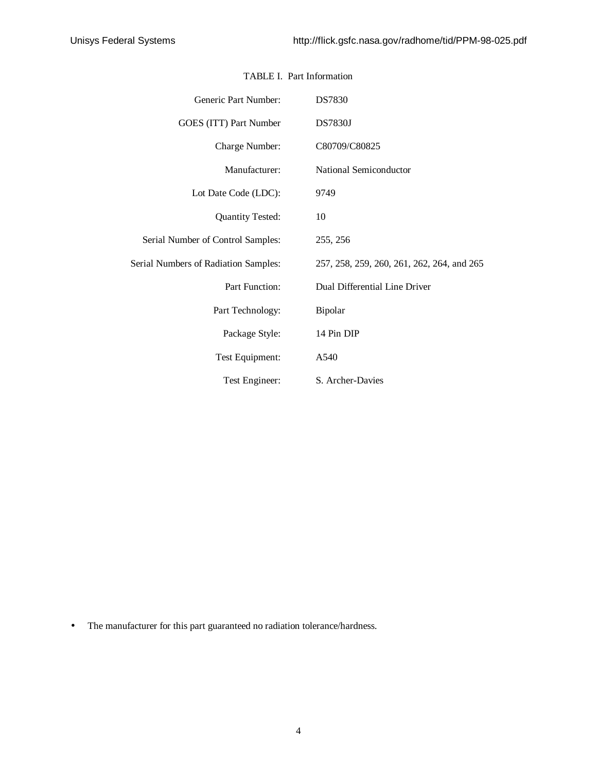| Generic Part Number:                 | <b>DS7830</b>                              |
|--------------------------------------|--------------------------------------------|
| GOES (ITT) Part Number               | <b>DS7830J</b>                             |
| Charge Number:                       | C80709/C80825                              |
| Manufacturer:                        | National Semiconductor                     |
| Lot Date Code (LDC):                 | 9749                                       |
| <b>Quantity Tested:</b>              | 10                                         |
| Serial Number of Control Samples:    | 255, 256                                   |
| Serial Numbers of Radiation Samples: | 257, 258, 259, 260, 261, 262, 264, and 265 |
| Part Function:                       | Dual Differential Line Driver              |
| Part Technology:                     | Bipolar                                    |
| Package Style:                       | 14 Pin DIP                                 |
| Test Equipment:                      | A540                                       |
| Test Engineer:                       | S. Archer-Davies                           |

### TABLE I. Part Information

• The manufacturer for this part guaranteed no radiation tolerance/hardness.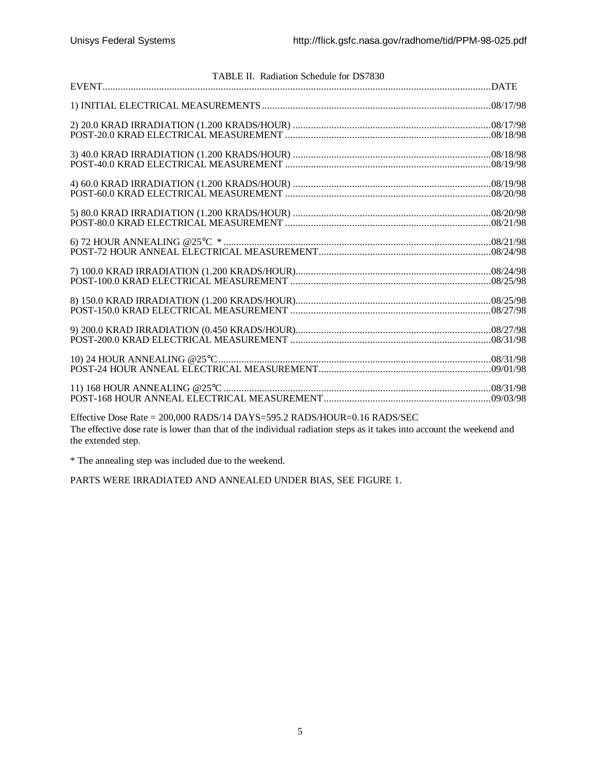| TABLE II. Radiation Schedule for DS7830                                  |  |
|--------------------------------------------------------------------------|--|
|                                                                          |  |
|                                                                          |  |
|                                                                          |  |
|                                                                          |  |
|                                                                          |  |
|                                                                          |  |
|                                                                          |  |
|                                                                          |  |
|                                                                          |  |
|                                                                          |  |
|                                                                          |  |
| $Eff_{ext}$ Deep Deta 000.000 DADC/14 DAVC 505.0 DADC/HOLD 0.16 DADC/CEO |  |

Effective Dose Rate = 200,000 RADS/14 DAYS=595.2 RADS/HOUR=0.16 RADS/SEC The effective dose rate is lower than that of the individual radiation steps as it takes into account the weekend and the extended step.

\* The annealing step was included due to the weekend.

PARTS WERE IRRADIATED AND ANNEALED UNDER BIAS, SEE FIGURE 1.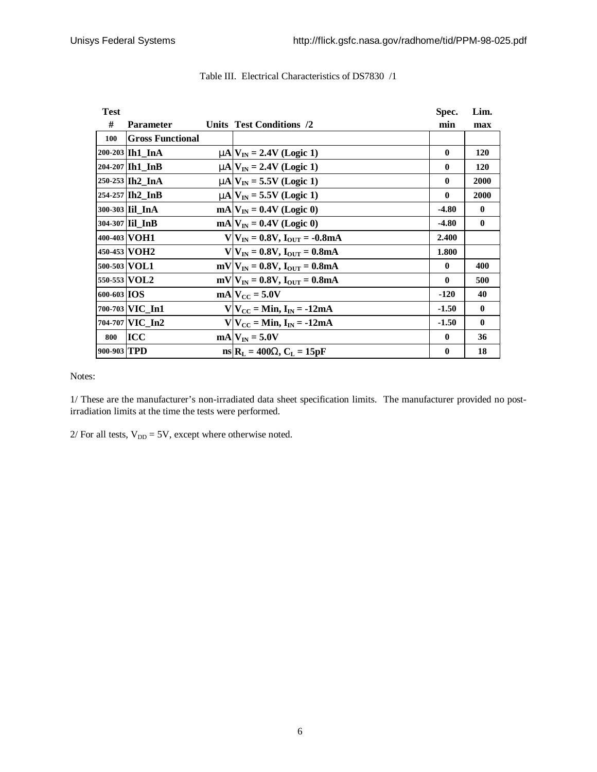| <b>Test</b> |                                         |                                                                                             | Spec.        | Lim.         |
|-------------|-----------------------------------------|---------------------------------------------------------------------------------------------|--------------|--------------|
| #           | <b>Parameter</b>                        | Units Test Conditions /2                                                                    | min          | max          |
| 100         | <b>Gross Functional</b>                 |                                                                                             |              |              |
|             | 200-203 Ih1_InA                         | $mN = 2.4V$ (Logic 1)                                                                       | $\mathbf{0}$ | <b>120</b>   |
|             | 204-207 Ih1 InB                         | $mN$ $V_{N}$ = 2.4V (Logic 1)                                                               | $\mathbf{0}$ | <b>120</b>   |
|             | 250-253 Ih <sub>2</sub> In <sub>A</sub> | $mN/V_{\text{IN}} = 5.5V$ (Logic 1)                                                         | $\mathbf{0}$ | 2000         |
|             | 254-257 Ih2 InB                         | $mN$ $V_{N}$ = 5.5V (Logic 1)                                                               | $\mathbf{0}$ | <b>2000</b>  |
|             | 300-303 Iil InA                         | $mA V_{IN} = 0.4V$ (Logic 0)                                                                | $-4.80$      | $\mathbf{0}$ |
|             | 304-307 Iil_InB                         | $mA V_{IN} = 0.4V$ (Logic 0)                                                                | $-4.80$      | $\mathbf{0}$ |
|             | 400-403 VOH1                            | $V V_{IN} = 0.8V, I_{OUT} = -0.8mA$                                                         | 2.400        |              |
|             | 450-453 VOH2                            | $V V_{IN} = 0.8V$ , $I_{OIII} = 0.8mA$                                                      | 1.800        |              |
|             | 500-503 VOL1                            | $mV/V_{IN} = 0.8V$ , $I_{OUT} = 0.8mA$                                                      | $\mathbf{0}$ | 400          |
|             | 550-553 VOL2                            | $mV V_{IN} = 0.8V, I_{OUT} = 0.8mA$                                                         | $\mathbf{0}$ | 500          |
| 600-603 IOS |                                         | $mA V_{CC} = 5.0V$                                                                          | $-120$       | 40           |
|             | 700-703 VIC In1                         | $V V_{CC} = Min, I_{IN} = -12mA$                                                            | $-1.50$      | $\mathbf{0}$ |
|             | 704-707 VIC In2                         | $V V_{CC} = Min, I_{IN} = -12mA$                                                            | $-1.50$      | $\mathbf{0}$ |
| 800         | <b>ICC</b>                              | $mA V_{IN} = 5.0V$                                                                          | $\mathbf{0}$ | 36           |
| 900-903 TPD |                                         | $\text{ns}$ $\text{R}_{\text{L}}$ = 400 <b>W</b> , $\text{C}_{\text{L}}$ = 15 <sub>pF</sub> | $\mathbf{0}$ | 18           |

# Table III. Electrical Characteristics of DS7830 /1

Notes:

1/ These are the manufacturer's non-irradiated data sheet specification limits. The manufacturer provided no postirradiation limits at the time the tests were performed.

 $2/$  For all tests,  $V_{DD} = 5V$ , except where otherwise noted.